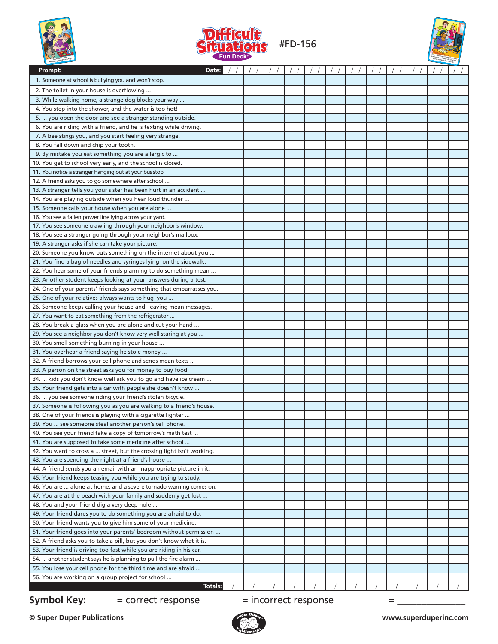





| 1. Someone at school is bullying you and won't stop.<br>2. The toilet in your house is overflowing<br>3. While walking home, a strange dog blocks your way<br>4. You step into the shower, and the water is too hot!<br>5.  you open the door and see a stranger standing outside.<br>6. You are riding with a friend, and he is texting while driving.<br>7. A bee stings you, and you start feeling very strange.<br>8. You fall down and chip your tooth.<br>9. By mistake you eat something you are allergic to<br>10. You get to school very early, and the school is closed.<br>11. You notice a stranger hanging out at your bus stop.<br>12. A friend asks you to go somewhere after school<br>13. A stranger tells you your sister has been hurt in an accident<br>14. You are playing outside when you hear loud thunder<br>15. Someone calls your house when you are alone<br>16. You see a fallen power line lying across your yard.<br>17. You see someone crawling through your neighbor's window.<br>18. You see a stranger going through your neighbor's mailbox.<br>19. A stranger asks if she can take your picture.<br>20. Someone you know puts something on the internet about you<br>21. You find a bag of needles and syringes lying on the sidewalk.<br>22. You hear some of your friends planning to do something mean<br>23. Another student keeps looking at your answers during a test.<br>24. One of your parents' friends says something that embarrasses you.<br>25. One of your relatives always wants to hug you<br>26. Someone keeps calling your house and leaving mean messages.<br>27. You want to eat something from the refrigerator<br>28. You break a glass when you are alone and cut your hand<br>29. You see a neighbor you don't know very well staring at you<br>30. You smell something burning in your house<br>31. You overhear a friend saying he stole money<br>32. A friend borrows your cell phone and sends mean texts<br>33. A person on the street asks you for money to buy food.<br>34.  kids you don't know well ask you to go and have ice cream<br>35. Your friend gets into a car with people she doesn't know<br>36.  you see someone riding your friend's stolen bicycle.<br>37. Someone is following you as you are walking to a friend's house.<br>38. One of your friends is playing with a cigarette lighter<br>39. You  see someone steal another person's cell phone.<br>40. You see your friend take a copy of tomorrow's math test<br>41. You are supposed to take some medicine after school<br>42. You want to cross a  street, but the crossing light isn't working.<br>43. You are spending the night at a friend's house<br>44. A friend sends you an email with an inappropriate picture in it.<br>45. Your friend keeps teasing you while you are trying to study.<br>46. You are  alone at home, and a severe tornado warning comes on.<br>47. You are at the beach with your family and suddenly get lost<br>48. You and your friend dig a very deep hole<br>49. Your friend dares you to do something you are afraid to do.<br>50. Your friend wants you to give him some of your medicine.<br>51. Your friend goes into your parents' bedroom without permission<br>52. A friend asks you to take a pill, but you don't know what it is.<br>53. Your friend is driving too fast while you are riding in his car.<br>54.  another student says he is planning to pull the fire alarm<br>55. You lose your cell phone for the third time and are afraid<br>56. You are working on a group project for school<br>Totals: | Prompt:<br>Date: |  |  |  |  |  |  |
|----------------------------------------------------------------------------------------------------------------------------------------------------------------------------------------------------------------------------------------------------------------------------------------------------------------------------------------------------------------------------------------------------------------------------------------------------------------------------------------------------------------------------------------------------------------------------------------------------------------------------------------------------------------------------------------------------------------------------------------------------------------------------------------------------------------------------------------------------------------------------------------------------------------------------------------------------------------------------------------------------------------------------------------------------------------------------------------------------------------------------------------------------------------------------------------------------------------------------------------------------------------------------------------------------------------------------------------------------------------------------------------------------------------------------------------------------------------------------------------------------------------------------------------------------------------------------------------------------------------------------------------------------------------------------------------------------------------------------------------------------------------------------------------------------------------------------------------------------------------------------------------------------------------------------------------------------------------------------------------------------------------------------------------------------------------------------------------------------------------------------------------------------------------------------------------------------------------------------------------------------------------------------------------------------------------------------------------------------------------------------------------------------------------------------------------------------------------------------------------------------------------------------------------------------------------------------------------------------------------------------------------------------------------------------------------------------------------------------------------------------------------------------------------------------------------------------------------------------------------------------------------------------------------------------------------------------------------------------------------------------------------------------------------------------------------------------------------------------------------------------------------------------------------------------------------------------------------------------------------------------------------------------------------------------------------------------------------------------------------------------------------------------------------------------------------------------------------------------------------------------------------------------------------------------------------------------------------------------------|------------------|--|--|--|--|--|--|
|                                                                                                                                                                                                                                                                                                                                                                                                                                                                                                                                                                                                                                                                                                                                                                                                                                                                                                                                                                                                                                                                                                                                                                                                                                                                                                                                                                                                                                                                                                                                                                                                                                                                                                                                                                                                                                                                                                                                                                                                                                                                                                                                                                                                                                                                                                                                                                                                                                                                                                                                                                                                                                                                                                                                                                                                                                                                                                                                                                                                                                                                                                                                                                                                                                                                                                                                                                                                                                                                                                                                                                                                          |                  |  |  |  |  |  |  |
|                                                                                                                                                                                                                                                                                                                                                                                                                                                                                                                                                                                                                                                                                                                                                                                                                                                                                                                                                                                                                                                                                                                                                                                                                                                                                                                                                                                                                                                                                                                                                                                                                                                                                                                                                                                                                                                                                                                                                                                                                                                                                                                                                                                                                                                                                                                                                                                                                                                                                                                                                                                                                                                                                                                                                                                                                                                                                                                                                                                                                                                                                                                                                                                                                                                                                                                                                                                                                                                                                                                                                                                                          |                  |  |  |  |  |  |  |
|                                                                                                                                                                                                                                                                                                                                                                                                                                                                                                                                                                                                                                                                                                                                                                                                                                                                                                                                                                                                                                                                                                                                                                                                                                                                                                                                                                                                                                                                                                                                                                                                                                                                                                                                                                                                                                                                                                                                                                                                                                                                                                                                                                                                                                                                                                                                                                                                                                                                                                                                                                                                                                                                                                                                                                                                                                                                                                                                                                                                                                                                                                                                                                                                                                                                                                                                                                                                                                                                                                                                                                                                          |                  |  |  |  |  |  |  |
|                                                                                                                                                                                                                                                                                                                                                                                                                                                                                                                                                                                                                                                                                                                                                                                                                                                                                                                                                                                                                                                                                                                                                                                                                                                                                                                                                                                                                                                                                                                                                                                                                                                                                                                                                                                                                                                                                                                                                                                                                                                                                                                                                                                                                                                                                                                                                                                                                                                                                                                                                                                                                                                                                                                                                                                                                                                                                                                                                                                                                                                                                                                                                                                                                                                                                                                                                                                                                                                                                                                                                                                                          |                  |  |  |  |  |  |  |
|                                                                                                                                                                                                                                                                                                                                                                                                                                                                                                                                                                                                                                                                                                                                                                                                                                                                                                                                                                                                                                                                                                                                                                                                                                                                                                                                                                                                                                                                                                                                                                                                                                                                                                                                                                                                                                                                                                                                                                                                                                                                                                                                                                                                                                                                                                                                                                                                                                                                                                                                                                                                                                                                                                                                                                                                                                                                                                                                                                                                                                                                                                                                                                                                                                                                                                                                                                                                                                                                                                                                                                                                          |                  |  |  |  |  |  |  |
|                                                                                                                                                                                                                                                                                                                                                                                                                                                                                                                                                                                                                                                                                                                                                                                                                                                                                                                                                                                                                                                                                                                                                                                                                                                                                                                                                                                                                                                                                                                                                                                                                                                                                                                                                                                                                                                                                                                                                                                                                                                                                                                                                                                                                                                                                                                                                                                                                                                                                                                                                                                                                                                                                                                                                                                                                                                                                                                                                                                                                                                                                                                                                                                                                                                                                                                                                                                                                                                                                                                                                                                                          |                  |  |  |  |  |  |  |
|                                                                                                                                                                                                                                                                                                                                                                                                                                                                                                                                                                                                                                                                                                                                                                                                                                                                                                                                                                                                                                                                                                                                                                                                                                                                                                                                                                                                                                                                                                                                                                                                                                                                                                                                                                                                                                                                                                                                                                                                                                                                                                                                                                                                                                                                                                                                                                                                                                                                                                                                                                                                                                                                                                                                                                                                                                                                                                                                                                                                                                                                                                                                                                                                                                                                                                                                                                                                                                                                                                                                                                                                          |                  |  |  |  |  |  |  |
|                                                                                                                                                                                                                                                                                                                                                                                                                                                                                                                                                                                                                                                                                                                                                                                                                                                                                                                                                                                                                                                                                                                                                                                                                                                                                                                                                                                                                                                                                                                                                                                                                                                                                                                                                                                                                                                                                                                                                                                                                                                                                                                                                                                                                                                                                                                                                                                                                                                                                                                                                                                                                                                                                                                                                                                                                                                                                                                                                                                                                                                                                                                                                                                                                                                                                                                                                                                                                                                                                                                                                                                                          |                  |  |  |  |  |  |  |
|                                                                                                                                                                                                                                                                                                                                                                                                                                                                                                                                                                                                                                                                                                                                                                                                                                                                                                                                                                                                                                                                                                                                                                                                                                                                                                                                                                                                                                                                                                                                                                                                                                                                                                                                                                                                                                                                                                                                                                                                                                                                                                                                                                                                                                                                                                                                                                                                                                                                                                                                                                                                                                                                                                                                                                                                                                                                                                                                                                                                                                                                                                                                                                                                                                                                                                                                                                                                                                                                                                                                                                                                          |                  |  |  |  |  |  |  |
|                                                                                                                                                                                                                                                                                                                                                                                                                                                                                                                                                                                                                                                                                                                                                                                                                                                                                                                                                                                                                                                                                                                                                                                                                                                                                                                                                                                                                                                                                                                                                                                                                                                                                                                                                                                                                                                                                                                                                                                                                                                                                                                                                                                                                                                                                                                                                                                                                                                                                                                                                                                                                                                                                                                                                                                                                                                                                                                                                                                                                                                                                                                                                                                                                                                                                                                                                                                                                                                                                                                                                                                                          |                  |  |  |  |  |  |  |
|                                                                                                                                                                                                                                                                                                                                                                                                                                                                                                                                                                                                                                                                                                                                                                                                                                                                                                                                                                                                                                                                                                                                                                                                                                                                                                                                                                                                                                                                                                                                                                                                                                                                                                                                                                                                                                                                                                                                                                                                                                                                                                                                                                                                                                                                                                                                                                                                                                                                                                                                                                                                                                                                                                                                                                                                                                                                                                                                                                                                                                                                                                                                                                                                                                                                                                                                                                                                                                                                                                                                                                                                          |                  |  |  |  |  |  |  |
|                                                                                                                                                                                                                                                                                                                                                                                                                                                                                                                                                                                                                                                                                                                                                                                                                                                                                                                                                                                                                                                                                                                                                                                                                                                                                                                                                                                                                                                                                                                                                                                                                                                                                                                                                                                                                                                                                                                                                                                                                                                                                                                                                                                                                                                                                                                                                                                                                                                                                                                                                                                                                                                                                                                                                                                                                                                                                                                                                                                                                                                                                                                                                                                                                                                                                                                                                                                                                                                                                                                                                                                                          |                  |  |  |  |  |  |  |
|                                                                                                                                                                                                                                                                                                                                                                                                                                                                                                                                                                                                                                                                                                                                                                                                                                                                                                                                                                                                                                                                                                                                                                                                                                                                                                                                                                                                                                                                                                                                                                                                                                                                                                                                                                                                                                                                                                                                                                                                                                                                                                                                                                                                                                                                                                                                                                                                                                                                                                                                                                                                                                                                                                                                                                                                                                                                                                                                                                                                                                                                                                                                                                                                                                                                                                                                                                                                                                                                                                                                                                                                          |                  |  |  |  |  |  |  |
|                                                                                                                                                                                                                                                                                                                                                                                                                                                                                                                                                                                                                                                                                                                                                                                                                                                                                                                                                                                                                                                                                                                                                                                                                                                                                                                                                                                                                                                                                                                                                                                                                                                                                                                                                                                                                                                                                                                                                                                                                                                                                                                                                                                                                                                                                                                                                                                                                                                                                                                                                                                                                                                                                                                                                                                                                                                                                                                                                                                                                                                                                                                                                                                                                                                                                                                                                                                                                                                                                                                                                                                                          |                  |  |  |  |  |  |  |
|                                                                                                                                                                                                                                                                                                                                                                                                                                                                                                                                                                                                                                                                                                                                                                                                                                                                                                                                                                                                                                                                                                                                                                                                                                                                                                                                                                                                                                                                                                                                                                                                                                                                                                                                                                                                                                                                                                                                                                                                                                                                                                                                                                                                                                                                                                                                                                                                                                                                                                                                                                                                                                                                                                                                                                                                                                                                                                                                                                                                                                                                                                                                                                                                                                                                                                                                                                                                                                                                                                                                                                                                          |                  |  |  |  |  |  |  |
|                                                                                                                                                                                                                                                                                                                                                                                                                                                                                                                                                                                                                                                                                                                                                                                                                                                                                                                                                                                                                                                                                                                                                                                                                                                                                                                                                                                                                                                                                                                                                                                                                                                                                                                                                                                                                                                                                                                                                                                                                                                                                                                                                                                                                                                                                                                                                                                                                                                                                                                                                                                                                                                                                                                                                                                                                                                                                                                                                                                                                                                                                                                                                                                                                                                                                                                                                                                                                                                                                                                                                                                                          |                  |  |  |  |  |  |  |
|                                                                                                                                                                                                                                                                                                                                                                                                                                                                                                                                                                                                                                                                                                                                                                                                                                                                                                                                                                                                                                                                                                                                                                                                                                                                                                                                                                                                                                                                                                                                                                                                                                                                                                                                                                                                                                                                                                                                                                                                                                                                                                                                                                                                                                                                                                                                                                                                                                                                                                                                                                                                                                                                                                                                                                                                                                                                                                                                                                                                                                                                                                                                                                                                                                                                                                                                                                                                                                                                                                                                                                                                          |                  |  |  |  |  |  |  |
|                                                                                                                                                                                                                                                                                                                                                                                                                                                                                                                                                                                                                                                                                                                                                                                                                                                                                                                                                                                                                                                                                                                                                                                                                                                                                                                                                                                                                                                                                                                                                                                                                                                                                                                                                                                                                                                                                                                                                                                                                                                                                                                                                                                                                                                                                                                                                                                                                                                                                                                                                                                                                                                                                                                                                                                                                                                                                                                                                                                                                                                                                                                                                                                                                                                                                                                                                                                                                                                                                                                                                                                                          |                  |  |  |  |  |  |  |
|                                                                                                                                                                                                                                                                                                                                                                                                                                                                                                                                                                                                                                                                                                                                                                                                                                                                                                                                                                                                                                                                                                                                                                                                                                                                                                                                                                                                                                                                                                                                                                                                                                                                                                                                                                                                                                                                                                                                                                                                                                                                                                                                                                                                                                                                                                                                                                                                                                                                                                                                                                                                                                                                                                                                                                                                                                                                                                                                                                                                                                                                                                                                                                                                                                                                                                                                                                                                                                                                                                                                                                                                          |                  |  |  |  |  |  |  |
|                                                                                                                                                                                                                                                                                                                                                                                                                                                                                                                                                                                                                                                                                                                                                                                                                                                                                                                                                                                                                                                                                                                                                                                                                                                                                                                                                                                                                                                                                                                                                                                                                                                                                                                                                                                                                                                                                                                                                                                                                                                                                                                                                                                                                                                                                                                                                                                                                                                                                                                                                                                                                                                                                                                                                                                                                                                                                                                                                                                                                                                                                                                                                                                                                                                                                                                                                                                                                                                                                                                                                                                                          |                  |  |  |  |  |  |  |
|                                                                                                                                                                                                                                                                                                                                                                                                                                                                                                                                                                                                                                                                                                                                                                                                                                                                                                                                                                                                                                                                                                                                                                                                                                                                                                                                                                                                                                                                                                                                                                                                                                                                                                                                                                                                                                                                                                                                                                                                                                                                                                                                                                                                                                                                                                                                                                                                                                                                                                                                                                                                                                                                                                                                                                                                                                                                                                                                                                                                                                                                                                                                                                                                                                                                                                                                                                                                                                                                                                                                                                                                          |                  |  |  |  |  |  |  |
|                                                                                                                                                                                                                                                                                                                                                                                                                                                                                                                                                                                                                                                                                                                                                                                                                                                                                                                                                                                                                                                                                                                                                                                                                                                                                                                                                                                                                                                                                                                                                                                                                                                                                                                                                                                                                                                                                                                                                                                                                                                                                                                                                                                                                                                                                                                                                                                                                                                                                                                                                                                                                                                                                                                                                                                                                                                                                                                                                                                                                                                                                                                                                                                                                                                                                                                                                                                                                                                                                                                                                                                                          |                  |  |  |  |  |  |  |
|                                                                                                                                                                                                                                                                                                                                                                                                                                                                                                                                                                                                                                                                                                                                                                                                                                                                                                                                                                                                                                                                                                                                                                                                                                                                                                                                                                                                                                                                                                                                                                                                                                                                                                                                                                                                                                                                                                                                                                                                                                                                                                                                                                                                                                                                                                                                                                                                                                                                                                                                                                                                                                                                                                                                                                                                                                                                                                                                                                                                                                                                                                                                                                                                                                                                                                                                                                                                                                                                                                                                                                                                          |                  |  |  |  |  |  |  |
|                                                                                                                                                                                                                                                                                                                                                                                                                                                                                                                                                                                                                                                                                                                                                                                                                                                                                                                                                                                                                                                                                                                                                                                                                                                                                                                                                                                                                                                                                                                                                                                                                                                                                                                                                                                                                                                                                                                                                                                                                                                                                                                                                                                                                                                                                                                                                                                                                                                                                                                                                                                                                                                                                                                                                                                                                                                                                                                                                                                                                                                                                                                                                                                                                                                                                                                                                                                                                                                                                                                                                                                                          |                  |  |  |  |  |  |  |
|                                                                                                                                                                                                                                                                                                                                                                                                                                                                                                                                                                                                                                                                                                                                                                                                                                                                                                                                                                                                                                                                                                                                                                                                                                                                                                                                                                                                                                                                                                                                                                                                                                                                                                                                                                                                                                                                                                                                                                                                                                                                                                                                                                                                                                                                                                                                                                                                                                                                                                                                                                                                                                                                                                                                                                                                                                                                                                                                                                                                                                                                                                                                                                                                                                                                                                                                                                                                                                                                                                                                                                                                          |                  |  |  |  |  |  |  |
|                                                                                                                                                                                                                                                                                                                                                                                                                                                                                                                                                                                                                                                                                                                                                                                                                                                                                                                                                                                                                                                                                                                                                                                                                                                                                                                                                                                                                                                                                                                                                                                                                                                                                                                                                                                                                                                                                                                                                                                                                                                                                                                                                                                                                                                                                                                                                                                                                                                                                                                                                                                                                                                                                                                                                                                                                                                                                                                                                                                                                                                                                                                                                                                                                                                                                                                                                                                                                                                                                                                                                                                                          |                  |  |  |  |  |  |  |
|                                                                                                                                                                                                                                                                                                                                                                                                                                                                                                                                                                                                                                                                                                                                                                                                                                                                                                                                                                                                                                                                                                                                                                                                                                                                                                                                                                                                                                                                                                                                                                                                                                                                                                                                                                                                                                                                                                                                                                                                                                                                                                                                                                                                                                                                                                                                                                                                                                                                                                                                                                                                                                                                                                                                                                                                                                                                                                                                                                                                                                                                                                                                                                                                                                                                                                                                                                                                                                                                                                                                                                                                          |                  |  |  |  |  |  |  |
|                                                                                                                                                                                                                                                                                                                                                                                                                                                                                                                                                                                                                                                                                                                                                                                                                                                                                                                                                                                                                                                                                                                                                                                                                                                                                                                                                                                                                                                                                                                                                                                                                                                                                                                                                                                                                                                                                                                                                                                                                                                                                                                                                                                                                                                                                                                                                                                                                                                                                                                                                                                                                                                                                                                                                                                                                                                                                                                                                                                                                                                                                                                                                                                                                                                                                                                                                                                                                                                                                                                                                                                                          |                  |  |  |  |  |  |  |
|                                                                                                                                                                                                                                                                                                                                                                                                                                                                                                                                                                                                                                                                                                                                                                                                                                                                                                                                                                                                                                                                                                                                                                                                                                                                                                                                                                                                                                                                                                                                                                                                                                                                                                                                                                                                                                                                                                                                                                                                                                                                                                                                                                                                                                                                                                                                                                                                                                                                                                                                                                                                                                                                                                                                                                                                                                                                                                                                                                                                                                                                                                                                                                                                                                                                                                                                                                                                                                                                                                                                                                                                          |                  |  |  |  |  |  |  |
|                                                                                                                                                                                                                                                                                                                                                                                                                                                                                                                                                                                                                                                                                                                                                                                                                                                                                                                                                                                                                                                                                                                                                                                                                                                                                                                                                                                                                                                                                                                                                                                                                                                                                                                                                                                                                                                                                                                                                                                                                                                                                                                                                                                                                                                                                                                                                                                                                                                                                                                                                                                                                                                                                                                                                                                                                                                                                                                                                                                                                                                                                                                                                                                                                                                                                                                                                                                                                                                                                                                                                                                                          |                  |  |  |  |  |  |  |
|                                                                                                                                                                                                                                                                                                                                                                                                                                                                                                                                                                                                                                                                                                                                                                                                                                                                                                                                                                                                                                                                                                                                                                                                                                                                                                                                                                                                                                                                                                                                                                                                                                                                                                                                                                                                                                                                                                                                                                                                                                                                                                                                                                                                                                                                                                                                                                                                                                                                                                                                                                                                                                                                                                                                                                                                                                                                                                                                                                                                                                                                                                                                                                                                                                                                                                                                                                                                                                                                                                                                                                                                          |                  |  |  |  |  |  |  |
|                                                                                                                                                                                                                                                                                                                                                                                                                                                                                                                                                                                                                                                                                                                                                                                                                                                                                                                                                                                                                                                                                                                                                                                                                                                                                                                                                                                                                                                                                                                                                                                                                                                                                                                                                                                                                                                                                                                                                                                                                                                                                                                                                                                                                                                                                                                                                                                                                                                                                                                                                                                                                                                                                                                                                                                                                                                                                                                                                                                                                                                                                                                                                                                                                                                                                                                                                                                                                                                                                                                                                                                                          |                  |  |  |  |  |  |  |
|                                                                                                                                                                                                                                                                                                                                                                                                                                                                                                                                                                                                                                                                                                                                                                                                                                                                                                                                                                                                                                                                                                                                                                                                                                                                                                                                                                                                                                                                                                                                                                                                                                                                                                                                                                                                                                                                                                                                                                                                                                                                                                                                                                                                                                                                                                                                                                                                                                                                                                                                                                                                                                                                                                                                                                                                                                                                                                                                                                                                                                                                                                                                                                                                                                                                                                                                                                                                                                                                                                                                                                                                          |                  |  |  |  |  |  |  |
|                                                                                                                                                                                                                                                                                                                                                                                                                                                                                                                                                                                                                                                                                                                                                                                                                                                                                                                                                                                                                                                                                                                                                                                                                                                                                                                                                                                                                                                                                                                                                                                                                                                                                                                                                                                                                                                                                                                                                                                                                                                                                                                                                                                                                                                                                                                                                                                                                                                                                                                                                                                                                                                                                                                                                                                                                                                                                                                                                                                                                                                                                                                                                                                                                                                                                                                                                                                                                                                                                                                                                                                                          |                  |  |  |  |  |  |  |
|                                                                                                                                                                                                                                                                                                                                                                                                                                                                                                                                                                                                                                                                                                                                                                                                                                                                                                                                                                                                                                                                                                                                                                                                                                                                                                                                                                                                                                                                                                                                                                                                                                                                                                                                                                                                                                                                                                                                                                                                                                                                                                                                                                                                                                                                                                                                                                                                                                                                                                                                                                                                                                                                                                                                                                                                                                                                                                                                                                                                                                                                                                                                                                                                                                                                                                                                                                                                                                                                                                                                                                                                          |                  |  |  |  |  |  |  |
|                                                                                                                                                                                                                                                                                                                                                                                                                                                                                                                                                                                                                                                                                                                                                                                                                                                                                                                                                                                                                                                                                                                                                                                                                                                                                                                                                                                                                                                                                                                                                                                                                                                                                                                                                                                                                                                                                                                                                                                                                                                                                                                                                                                                                                                                                                                                                                                                                                                                                                                                                                                                                                                                                                                                                                                                                                                                                                                                                                                                                                                                                                                                                                                                                                                                                                                                                                                                                                                                                                                                                                                                          |                  |  |  |  |  |  |  |
|                                                                                                                                                                                                                                                                                                                                                                                                                                                                                                                                                                                                                                                                                                                                                                                                                                                                                                                                                                                                                                                                                                                                                                                                                                                                                                                                                                                                                                                                                                                                                                                                                                                                                                                                                                                                                                                                                                                                                                                                                                                                                                                                                                                                                                                                                                                                                                                                                                                                                                                                                                                                                                                                                                                                                                                                                                                                                                                                                                                                                                                                                                                                                                                                                                                                                                                                                                                                                                                                                                                                                                                                          |                  |  |  |  |  |  |  |
|                                                                                                                                                                                                                                                                                                                                                                                                                                                                                                                                                                                                                                                                                                                                                                                                                                                                                                                                                                                                                                                                                                                                                                                                                                                                                                                                                                                                                                                                                                                                                                                                                                                                                                                                                                                                                                                                                                                                                                                                                                                                                                                                                                                                                                                                                                                                                                                                                                                                                                                                                                                                                                                                                                                                                                                                                                                                                                                                                                                                                                                                                                                                                                                                                                                                                                                                                                                                                                                                                                                                                                                                          |                  |  |  |  |  |  |  |
|                                                                                                                                                                                                                                                                                                                                                                                                                                                                                                                                                                                                                                                                                                                                                                                                                                                                                                                                                                                                                                                                                                                                                                                                                                                                                                                                                                                                                                                                                                                                                                                                                                                                                                                                                                                                                                                                                                                                                                                                                                                                                                                                                                                                                                                                                                                                                                                                                                                                                                                                                                                                                                                                                                                                                                                                                                                                                                                                                                                                                                                                                                                                                                                                                                                                                                                                                                                                                                                                                                                                                                                                          |                  |  |  |  |  |  |  |
|                                                                                                                                                                                                                                                                                                                                                                                                                                                                                                                                                                                                                                                                                                                                                                                                                                                                                                                                                                                                                                                                                                                                                                                                                                                                                                                                                                                                                                                                                                                                                                                                                                                                                                                                                                                                                                                                                                                                                                                                                                                                                                                                                                                                                                                                                                                                                                                                                                                                                                                                                                                                                                                                                                                                                                                                                                                                                                                                                                                                                                                                                                                                                                                                                                                                                                                                                                                                                                                                                                                                                                                                          |                  |  |  |  |  |  |  |
|                                                                                                                                                                                                                                                                                                                                                                                                                                                                                                                                                                                                                                                                                                                                                                                                                                                                                                                                                                                                                                                                                                                                                                                                                                                                                                                                                                                                                                                                                                                                                                                                                                                                                                                                                                                                                                                                                                                                                                                                                                                                                                                                                                                                                                                                                                                                                                                                                                                                                                                                                                                                                                                                                                                                                                                                                                                                                                                                                                                                                                                                                                                                                                                                                                                                                                                                                                                                                                                                                                                                                                                                          |                  |  |  |  |  |  |  |
|                                                                                                                                                                                                                                                                                                                                                                                                                                                                                                                                                                                                                                                                                                                                                                                                                                                                                                                                                                                                                                                                                                                                                                                                                                                                                                                                                                                                                                                                                                                                                                                                                                                                                                                                                                                                                                                                                                                                                                                                                                                                                                                                                                                                                                                                                                                                                                                                                                                                                                                                                                                                                                                                                                                                                                                                                                                                                                                                                                                                                                                                                                                                                                                                                                                                                                                                                                                                                                                                                                                                                                                                          |                  |  |  |  |  |  |  |
|                                                                                                                                                                                                                                                                                                                                                                                                                                                                                                                                                                                                                                                                                                                                                                                                                                                                                                                                                                                                                                                                                                                                                                                                                                                                                                                                                                                                                                                                                                                                                                                                                                                                                                                                                                                                                                                                                                                                                                                                                                                                                                                                                                                                                                                                                                                                                                                                                                                                                                                                                                                                                                                                                                                                                                                                                                                                                                                                                                                                                                                                                                                                                                                                                                                                                                                                                                                                                                                                                                                                                                                                          |                  |  |  |  |  |  |  |
|                                                                                                                                                                                                                                                                                                                                                                                                                                                                                                                                                                                                                                                                                                                                                                                                                                                                                                                                                                                                                                                                                                                                                                                                                                                                                                                                                                                                                                                                                                                                                                                                                                                                                                                                                                                                                                                                                                                                                                                                                                                                                                                                                                                                                                                                                                                                                                                                                                                                                                                                                                                                                                                                                                                                                                                                                                                                                                                                                                                                                                                                                                                                                                                                                                                                                                                                                                                                                                                                                                                                                                                                          |                  |  |  |  |  |  |  |
|                                                                                                                                                                                                                                                                                                                                                                                                                                                                                                                                                                                                                                                                                                                                                                                                                                                                                                                                                                                                                                                                                                                                                                                                                                                                                                                                                                                                                                                                                                                                                                                                                                                                                                                                                                                                                                                                                                                                                                                                                                                                                                                                                                                                                                                                                                                                                                                                                                                                                                                                                                                                                                                                                                                                                                                                                                                                                                                                                                                                                                                                                                                                                                                                                                                                                                                                                                                                                                                                                                                                                                                                          |                  |  |  |  |  |  |  |
|                                                                                                                                                                                                                                                                                                                                                                                                                                                                                                                                                                                                                                                                                                                                                                                                                                                                                                                                                                                                                                                                                                                                                                                                                                                                                                                                                                                                                                                                                                                                                                                                                                                                                                                                                                                                                                                                                                                                                                                                                                                                                                                                                                                                                                                                                                                                                                                                                                                                                                                                                                                                                                                                                                                                                                                                                                                                                                                                                                                                                                                                                                                                                                                                                                                                                                                                                                                                                                                                                                                                                                                                          |                  |  |  |  |  |  |  |
|                                                                                                                                                                                                                                                                                                                                                                                                                                                                                                                                                                                                                                                                                                                                                                                                                                                                                                                                                                                                                                                                                                                                                                                                                                                                                                                                                                                                                                                                                                                                                                                                                                                                                                                                                                                                                                                                                                                                                                                                                                                                                                                                                                                                                                                                                                                                                                                                                                                                                                                                                                                                                                                                                                                                                                                                                                                                                                                                                                                                                                                                                                                                                                                                                                                                                                                                                                                                                                                                                                                                                                                                          |                  |  |  |  |  |  |  |
|                                                                                                                                                                                                                                                                                                                                                                                                                                                                                                                                                                                                                                                                                                                                                                                                                                                                                                                                                                                                                                                                                                                                                                                                                                                                                                                                                                                                                                                                                                                                                                                                                                                                                                                                                                                                                                                                                                                                                                                                                                                                                                                                                                                                                                                                                                                                                                                                                                                                                                                                                                                                                                                                                                                                                                                                                                                                                                                                                                                                                                                                                                                                                                                                                                                                                                                                                                                                                                                                                                                                                                                                          |                  |  |  |  |  |  |  |
|                                                                                                                                                                                                                                                                                                                                                                                                                                                                                                                                                                                                                                                                                                                                                                                                                                                                                                                                                                                                                                                                                                                                                                                                                                                                                                                                                                                                                                                                                                                                                                                                                                                                                                                                                                                                                                                                                                                                                                                                                                                                                                                                                                                                                                                                                                                                                                                                                                                                                                                                                                                                                                                                                                                                                                                                                                                                                                                                                                                                                                                                                                                                                                                                                                                                                                                                                                                                                                                                                                                                                                                                          |                  |  |  |  |  |  |  |
|                                                                                                                                                                                                                                                                                                                                                                                                                                                                                                                                                                                                                                                                                                                                                                                                                                                                                                                                                                                                                                                                                                                                                                                                                                                                                                                                                                                                                                                                                                                                                                                                                                                                                                                                                                                                                                                                                                                                                                                                                                                                                                                                                                                                                                                                                                                                                                                                                                                                                                                                                                                                                                                                                                                                                                                                                                                                                                                                                                                                                                                                                                                                                                                                                                                                                                                                                                                                                                                                                                                                                                                                          |                  |  |  |  |  |  |  |
|                                                                                                                                                                                                                                                                                                                                                                                                                                                                                                                                                                                                                                                                                                                                                                                                                                                                                                                                                                                                                                                                                                                                                                                                                                                                                                                                                                                                                                                                                                                                                                                                                                                                                                                                                                                                                                                                                                                                                                                                                                                                                                                                                                                                                                                                                                                                                                                                                                                                                                                                                                                                                                                                                                                                                                                                                                                                                                                                                                                                                                                                                                                                                                                                                                                                                                                                                                                                                                                                                                                                                                                                          |                  |  |  |  |  |  |  |
|                                                                                                                                                                                                                                                                                                                                                                                                                                                                                                                                                                                                                                                                                                                                                                                                                                                                                                                                                                                                                                                                                                                                                                                                                                                                                                                                                                                                                                                                                                                                                                                                                                                                                                                                                                                                                                                                                                                                                                                                                                                                                                                                                                                                                                                                                                                                                                                                                                                                                                                                                                                                                                                                                                                                                                                                                                                                                                                                                                                                                                                                                                                                                                                                                                                                                                                                                                                                                                                                                                                                                                                                          |                  |  |  |  |  |  |  |
|                                                                                                                                                                                                                                                                                                                                                                                                                                                                                                                                                                                                                                                                                                                                                                                                                                                                                                                                                                                                                                                                                                                                                                                                                                                                                                                                                                                                                                                                                                                                                                                                                                                                                                                                                                                                                                                                                                                                                                                                                                                                                                                                                                                                                                                                                                                                                                                                                                                                                                                                                                                                                                                                                                                                                                                                                                                                                                                                                                                                                                                                                                                                                                                                                                                                                                                                                                                                                                                                                                                                                                                                          |                  |  |  |  |  |  |  |
|                                                                                                                                                                                                                                                                                                                                                                                                                                                                                                                                                                                                                                                                                                                                                                                                                                                                                                                                                                                                                                                                                                                                                                                                                                                                                                                                                                                                                                                                                                                                                                                                                                                                                                                                                                                                                                                                                                                                                                                                                                                                                                                                                                                                                                                                                                                                                                                                                                                                                                                                                                                                                                                                                                                                                                                                                                                                                                                                                                                                                                                                                                                                                                                                                                                                                                                                                                                                                                                                                                                                                                                                          |                  |  |  |  |  |  |  |
|                                                                                                                                                                                                                                                                                                                                                                                                                                                                                                                                                                                                                                                                                                                                                                                                                                                                                                                                                                                                                                                                                                                                                                                                                                                                                                                                                                                                                                                                                                                                                                                                                                                                                                                                                                                                                                                                                                                                                                                                                                                                                                                                                                                                                                                                                                                                                                                                                                                                                                                                                                                                                                                                                                                                                                                                                                                                                                                                                                                                                                                                                                                                                                                                                                                                                                                                                                                                                                                                                                                                                                                                          |                  |  |  |  |  |  |  |
|                                                                                                                                                                                                                                                                                                                                                                                                                                                                                                                                                                                                                                                                                                                                                                                                                                                                                                                                                                                                                                                                                                                                                                                                                                                                                                                                                                                                                                                                                                                                                                                                                                                                                                                                                                                                                                                                                                                                                                                                                                                                                                                                                                                                                                                                                                                                                                                                                                                                                                                                                                                                                                                                                                                                                                                                                                                                                                                                                                                                                                                                                                                                                                                                                                                                                                                                                                                                                                                                                                                                                                                                          |                  |  |  |  |  |  |  |
|                                                                                                                                                                                                                                                                                                                                                                                                                                                                                                                                                                                                                                                                                                                                                                                                                                                                                                                                                                                                                                                                                                                                                                                                                                                                                                                                                                                                                                                                                                                                                                                                                                                                                                                                                                                                                                                                                                                                                                                                                                                                                                                                                                                                                                                                                                                                                                                                                                                                                                                                                                                                                                                                                                                                                                                                                                                                                                                                                                                                                                                                                                                                                                                                                                                                                                                                                                                                                                                                                                                                                                                                          |                  |  |  |  |  |  |  |

## **Symbol Key:**  $=$  correct response  $=$  incorrect response  $=$  \_\_\_\_\_\_\_\_\_\_\_\_\_\_\_\_\_\_\_\_